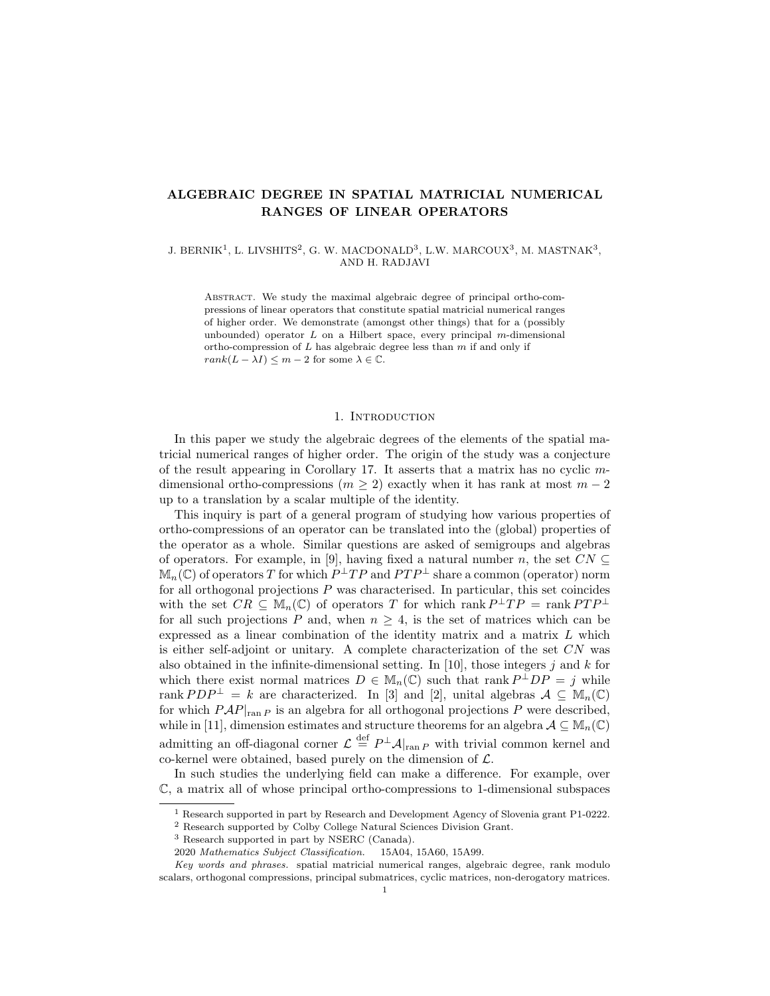# ALGEBRAIC DEGREE IN SPATIAL MATRICIAL NUMERICAL RANGES OF LINEAR OPERATORS

J. BERNIK<sup>1</sup>, L. LIVSHITS<sup>2</sup>, G. W. MACDONALD<sup>3</sup>, L.W. MARCOUX<sup>3</sup>, M. MASTNAK<sup>3</sup>, AND H. RADJAVI

Abstract. We study the maximal algebraic degree of principal ortho-compressions of linear operators that constitute spatial matricial numerical ranges of higher order. We demonstrate (amongst other things) that for a (possibly unbounded) operator  $L$  on a Hilbert space, every principal  $m$ -dimensional ortho-compression of  $L$  has algebraic degree less than  $m$  if and only if  $rank(L - \lambda I) \leq m - 2$  for some  $\lambda \in \mathbb{C}$ .

### 1. INTRODUCTION

In this paper we study the algebraic degrees of the elements of the spatial matricial numerical ranges of higher order. The origin of the study was a conjecture of the result appearing in Corollary 17. It asserts that a matrix has no cyclic mdimensional ortho-compressions ( $m \geq 2$ ) exactly when it has rank at most  $m-2$ up to a translation by a scalar multiple of the identity.

This inquiry is part of a general program of studying how various properties of ortho-compressions of an operator can be translated into the (global) properties of the operator as a whole. Similar questions are asked of semigroups and algebras of operators. For example, in [9], having fixed a natural number n, the set  $CN \subseteq$  $\mathbb{M}_{n}(\mathbb{C})$  of operators T for which  $P^{\perp}TP$  and  $PTP^{\perp}$  share a common (operator) norm for all orthogonal projections P was characterised. In particular, this set coincides with the set  $CR \subseteq M_n(\mathbb{C})$  of operators T for which rank  $P^{\perp}TP = \text{rank }PTP^{\perp}$ for all such projections P and, when  $n \geq 4$ , is the set of matrices which can be expressed as a linear combination of the identity matrix and a matrix L which is either self-adjoint or unitary. A complete characterization of the set  $CN$  was also obtained in the infinite-dimensional setting. In [10], those integers j and k for which there exist normal matrices  $D \in M_n(\mathbb{C})$  such that rank  $P^{\perp}DP = j$  while rank  $PDP^{\perp} = k$  are characterized. In [3] and [2], unital algebras  $A \subseteq M_n(\mathbb{C})$ for which  $PAP|_{\text{ran }P}$  is an algebra for all orthogonal projections P were described, while in [11], dimension estimates and structure theorems for an algebra  $A \subseteq M_n(\mathbb{C})$ admitting an off-diagonal corner  $\mathcal{L} \stackrel{\text{def}}{=} P^{\perp} \mathcal{A}|_{\text{ran } P}$  with trivial common kernel and co-kernel were obtained, based purely on the dimension of  $\mathcal{L}$ .

In such studies the underlying field can make a difference. For example, over C, a matrix all of whose principal ortho-compressions to 1-dimensional subspaces

<sup>1</sup> Research supported in part by Research and Development Agency of Slovenia grant P1-0222.

<sup>2</sup> Research supported by Colby College Natural Sciences Division Grant.

<sup>3</sup> Research supported in part by NSERC (Canada).

<sup>2020</sup> Mathematics Subject Classification. 15A04, 15A60, 15A99.

Key words and phrases. spatial matricial numerical ranges, algebraic degree, rank modulo scalars, orthogonal compressions, principal submatrices, cyclic matrices, non-derogatory matrices.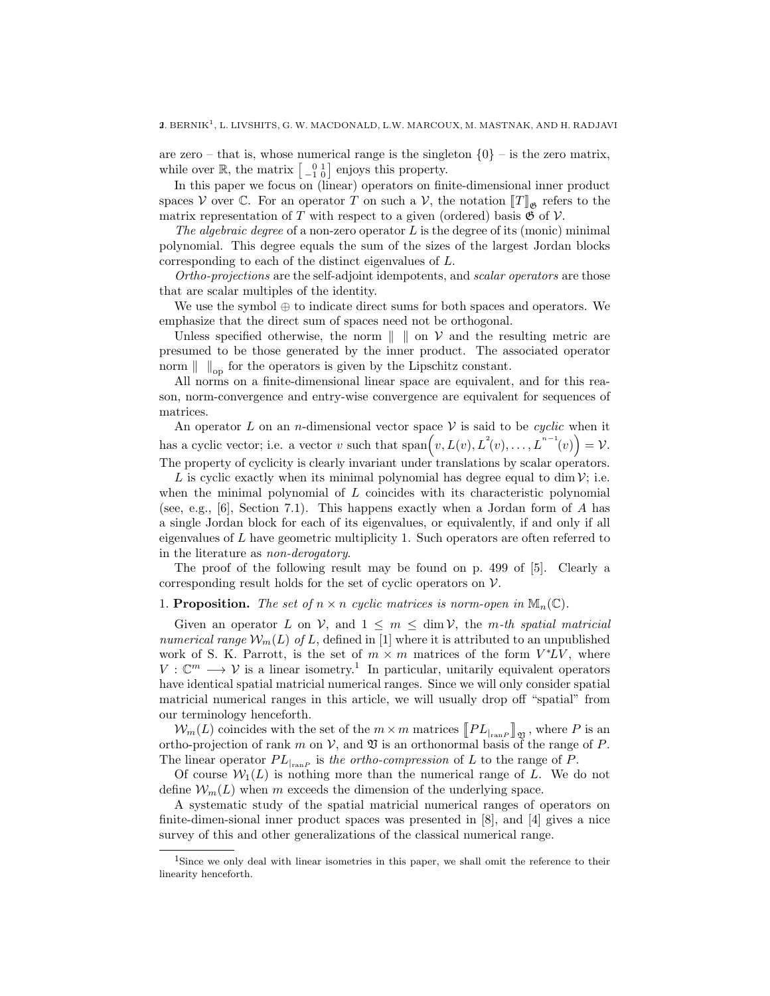are zero – that is, whose numerical range is the singleton  $\{0\}$  – is the zero matrix, while over  $\mathbb{R}$ , the matrix  $\begin{bmatrix} 0 & 1 \\ -1 & 0 \end{bmatrix}$  enjoys this property.

In this paper we focus on (linear) operators on finite-dimensional inner product spaces V over C. For an operator T on such a V, the notation  $[[T]]_{\mathfrak{G}}$  refers to the matrix representation of T with respect to a given (ordered) basis  $\mathfrak{G}$  of  $\mathcal{V}$ .

The algebraic degree of a non-zero operator  $L$  is the degree of its (monic) minimal polynomial. This degree equals the sum of the sizes of the largest Jordan blocks corresponding to each of the distinct eigenvalues of L.

Ortho-projections are the self-adjoint idempotents, and scalar operators are those that are scalar multiples of the identity.

We use the symbol  $\oplus$  to indicate direct sums for both spaces and operators. We emphasize that the direct sum of spaces need not be orthogonal.

Unless specified otherwise, the norm  $\| \cdot \|$  on V and the resulting metric are presumed to be those generated by the inner product. The associated operator norm  $\| \t\|_{op}$  for the operators is given by the Lipschitz constant.

All norms on a finite-dimensional linear space are equivalent, and for this reason, norm-convergence and entry-wise convergence are equivalent for sequences of matrices.

An operator L on an *n*-dimensional vector space  $V$  is said to be *cyclic* when it has a cyclic vector; i.e. a vector v such that  $\text{span}(v, L(v), L^2(v), \ldots, L^{n-1}(v)) = \mathcal{V}$ . The property of cyclicity is clearly invariant under translations by scalar operators.

L is cyclic exactly when its minimal polynomial has degree equal to dim  $\mathcal{V}$ ; i.e. when the minimal polynomial of  $L$  coincides with its characteristic polynomial (see, e.g., [6], Section 7.1). This happens exactly when a Jordan form of A has a single Jordan block for each of its eigenvalues, or equivalently, if and only if all eigenvalues of L have geometric multiplicity 1. Such operators are often referred to in the literature as non-derogatory.

The proof of the following result may be found on p. 499 of [5]. Clearly a corresponding result holds for the set of cyclic operators on  $\mathcal V$ .

## 1. **Proposition.** The set of  $n \times n$  cyclic matrices is norm-open in  $\mathbb{M}_n(\mathbb{C})$ .

Given an operator L on V, and  $1 \leq m \leq \dim V$ , the m-th spatial matricial numerical range  $\mathcal{W}_m(L)$  of L, defined in [1] where it is attributed to an unpublished work of S. K. Parrott, is the set of  $m \times m$  matrices of the form  $V^*LV$ , where  $V:\mathbb{C}^m\longrightarrow V$  is a linear isometry.<sup>1</sup> In particular, unitarily equivalent operators have identical spatial matricial numerical ranges. Since we will only consider spatial matricial numerical ranges in this article, we will usually drop off "spatial" from our terminology henceforth.

 $\mathcal{W}_m(L)$  coincides with the set of the  $m \times m$  matrices  $\llbracket PL_{\vert_{\text{ran}P}} \rrbracket_{\mathfrak{Y}}$ , where P is an ortho-projection of rank m on V, and  $\mathfrak V$  is an orthonormal basis of the range of P. The linear operator  $PL_{\vert_{\text{ran }P}}$  is the ortho-compression of L to the range of P.

Of course  $W_1(L)$  is nothing more than the numerical range of L. We do not define  $\mathcal{W}_m(L)$  when m exceeds the dimension of the underlying space.

A systematic study of the spatial matricial numerical ranges of operators on finite-dimen-sional inner product spaces was presented in [8], and [4] gives a nice survey of this and other generalizations of the classical numerical range.

<sup>&</sup>lt;sup>1</sup>Since we only deal with linear isometries in this paper, we shall omit the reference to their linearity henceforth.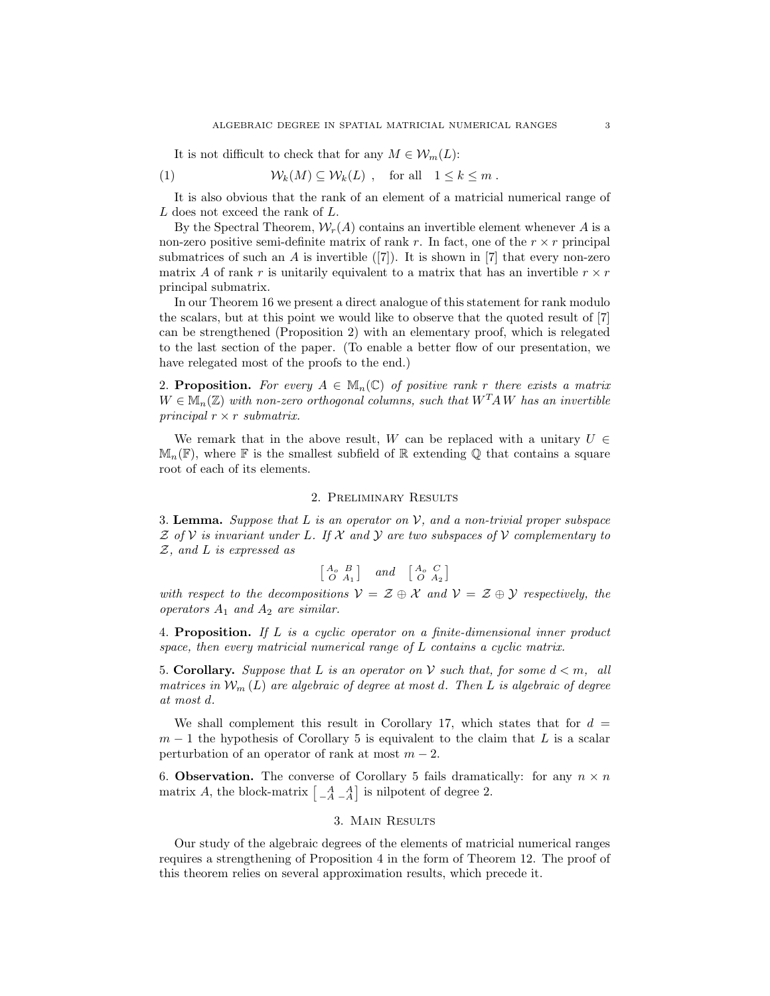It is not difficult to check that for any  $M \in \mathcal{W}_m(L)$ :

(1) 
$$
\mathcal{W}_k(M) \subseteq \mathcal{W}_k(L) , \text{ for all } 1 \leq k \leq m .
$$

It is also obvious that the rank of an element of a matricial numerical range of L does not exceed the rank of L.

By the Spectral Theorem,  $W_r(A)$  contains an invertible element whenever A is a non-zero positive semi-definite matrix of rank r. In fact, one of the  $r \times r$  principal submatrices of such an  $A$  is invertible  $([7])$ . It is shown in [7] that every non-zero matrix A of rank r is unitarily equivalent to a matrix that has an invertible  $r \times r$ principal submatrix.

In our Theorem 16 we present a direct analogue of this statement for rank modulo the scalars, but at this point we would like to observe that the quoted result of [7] can be strengthened (Proposition 2) with an elementary proof, which is relegated to the last section of the paper. (To enable a better flow of our presentation, we have relegated most of the proofs to the end.)

2. Proposition. For every  $A \in M_n(\mathbb{C})$  of positive rank r there exists a matrix  $W \in \mathbb{M}_n(\mathbb{Z})$  with non-zero orthogonal columns, such that  $W^T A W$  has an invertible principal  $r \times r$  submatrix.

We remark that in the above result, W can be replaced with a unitary  $U \in$  $\mathbb{M}_n(\mathbb{F})$ , where  $\mathbb F$  is the smallest subfield of  $\mathbb R$  extending Q that contains a square root of each of its elements.

# 2. Preliminary Results

3. Lemma. Suppose that L is an operator on V, and a non-trivial proper subspace  $\mathcal Z$  of  $\mathcal V$  is invariant under L. If  $\mathcal X$  and  $\mathcal Y$  are two subspaces of  $\mathcal V$  complementary to Z, and L is expressed as

$$
\begin{bmatrix} A_o & B \\ O & A_1 \end{bmatrix} \quad \text{and} \quad \begin{bmatrix} A_o & C \\ O & A_2 \end{bmatrix}
$$

with respect to the decompositions  $V = \mathcal{Z} \oplus \mathcal{X}$  and  $V = \mathcal{Z} \oplus \mathcal{Y}$  respectively, the operators  $A_1$  and  $A_2$  are similar.

4. Proposition. If L is a cyclic operator on a finite-dimensional inner product space, then every matricial numerical range of L contains a cyclic matrix.

5. Corollary. Suppose that L is an operator on V such that, for some  $d < m$ , all matrices in  $\mathcal{W}_m(L)$  are algebraic of degree at most d. Then L is algebraic of degree at most d.

We shall complement this result in Corollary 17, which states that for  $d =$  $m-1$  the hypothesis of Corollary 5 is equivalent to the claim that L is a scalar perturbation of an operator of rank at most  $m - 2$ .

6. **Observation.** The converse of Corollary 5 fails dramatically: for any  $n \times n$ matrix A, the block-matrix  $\begin{bmatrix} A & A \\ -A & -A \end{bmatrix}$  is nilpotent of degree 2.

# 3. Main Results

Our study of the algebraic degrees of the elements of matricial numerical ranges requires a strengthening of Proposition 4 in the form of Theorem 12. The proof of this theorem relies on several approximation results, which precede it.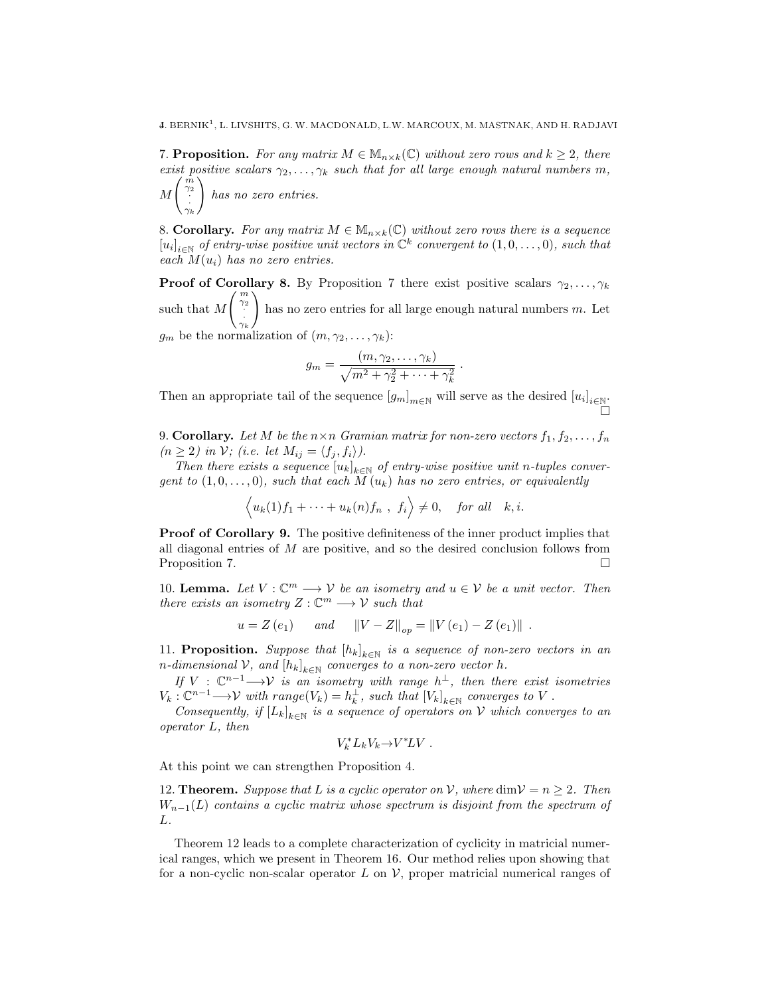7. **Proposition.** For any matrix  $M \in M_{n \times k}(\mathbb{C})$  without zero rows and  $k \geq 2$ , there exist positive scalars  $\gamma_2, \ldots, \gamma_k$  such that for all large enough natural numbers m,

 $\overline{M}$  $\left(\begin{array}{c}m\\ \infty\end{array}\right)$  $\gamma_2$ · ·  $\gamma_k$  $\setminus$ has no zero entries.

8. Corollary. For any matrix  $M \in M_{n \times k}(\mathbb{C})$  without zero rows there is a sequence  $[u_i]_{i\in\mathbb{N}}$  of entry-wise positive unit vectors in  $\mathbb{C}^k$  convergent to  $(1,0,\ldots,0)$ , such that each  $M(u_i)$  has no zero entries.

**Proof of Corollary 8.** By Proposition 7 there exist positive scalars  $\gamma_2, \ldots, \gamma_k$ such that  $M$  $\left(\begin{array}{c} m \\ \gamma_2 \\ \vdots \\ \gamma_k \end{array}\right)$  $\setminus$ has no zero entries for all large enough natural numbers m. Let  $g_m$  be the normalization of  $(m, \gamma_2, \ldots, \gamma_k)$ :

$$
g_m = \frac{(m, \gamma_2, \dots, \gamma_k)}{\sqrt{m^2 + \gamma_2^2 + \dots + \gamma_k^2}}
$$

.

Then an appropriate tail of the sequence  $[g_m]_{m \in \mathbb{N}}$  will serve as the desired  $[u_i]_{i \in \mathbb{N}}$ . Ò

9. Corollary. Let M be the  $n \times n$  Gramian matrix for non-zero vectors  $f_1, f_2, \ldots, f_n$  $(n \geq 2)$  in  $\mathcal{V}$ ; (i.e. let  $M_{ij} = \langle f_j, f_i \rangle$ ).

Then there exists a sequence  $[u_k]_{k \in \mathbb{N}}$  of entry-wise positive unit n-tuples convergent to  $(1,0,\ldots,0)$ , such that each  $\overline{M}(u_k)$  has no zero entries, or equivalently

$$
\langle u_k(1)f_1 + \cdots + u_k(n)f_n, f_i \rangle \neq 0, \text{ for all } k, i.
$$

Proof of Corollary 9. The positive definiteness of the inner product implies that all diagonal entries of M are positive, and so the desired conclusion follows from Proposition 7.

10. **Lemma.** Let  $V : \mathbb{C}^m \longrightarrow V$  be an isometry and  $u \in V$  be a unit vector. Then there exists an isometry  $Z: \mathbb{C}^m \longrightarrow V$  such that

$$
u = Z(e_1)
$$
 and  $||V - Z||_{op} = ||V(e_1) - Z(e_1)||$ .

11. **Proposition.** Suppose that  $[h_k]_{k \in \mathbb{N}}$  is a sequence of non-zero vectors in an n-dimensional  $\mathcal V$ , and  $[h_k]_{k\in\mathbb N}$  converges to a non-zero vector h.

If  $V : \mathbb{C}^{n-1} \longrightarrow V$  is an isometry with range  $h^{\perp}$ , then there exist isometries  $V_k: \mathbb{C}^{n-1}\longrightarrow \mathcal{V}$  with range $(V_k)=h_k^{\perp}$ , such that  $[V_k]_{k\in\mathbb{N}}$  converges to V.

Consequently, if  $[L_k]_{k \in \mathbb{N}}$  is a sequence of operators on V which converges to an operator L, then

$$
V_k^* L_k V_k {\rightarrow} V^* L V \ .
$$

At this point we can strengthen Proposition 4.

12. **Theorem.** Suppose that L is a cyclic operator on V, where  $\dim V = n > 2$ . Then  $W_{n-1}(L)$  contains a cyclic matrix whose spectrum is disjoint from the spectrum of L.

Theorem 12 leads to a complete characterization of cyclicity in matricial numerical ranges, which we present in Theorem 16. Our method relies upon showing that for a non-cyclic non-scalar operator L on  $\mathcal V$ , proper matricial numerical ranges of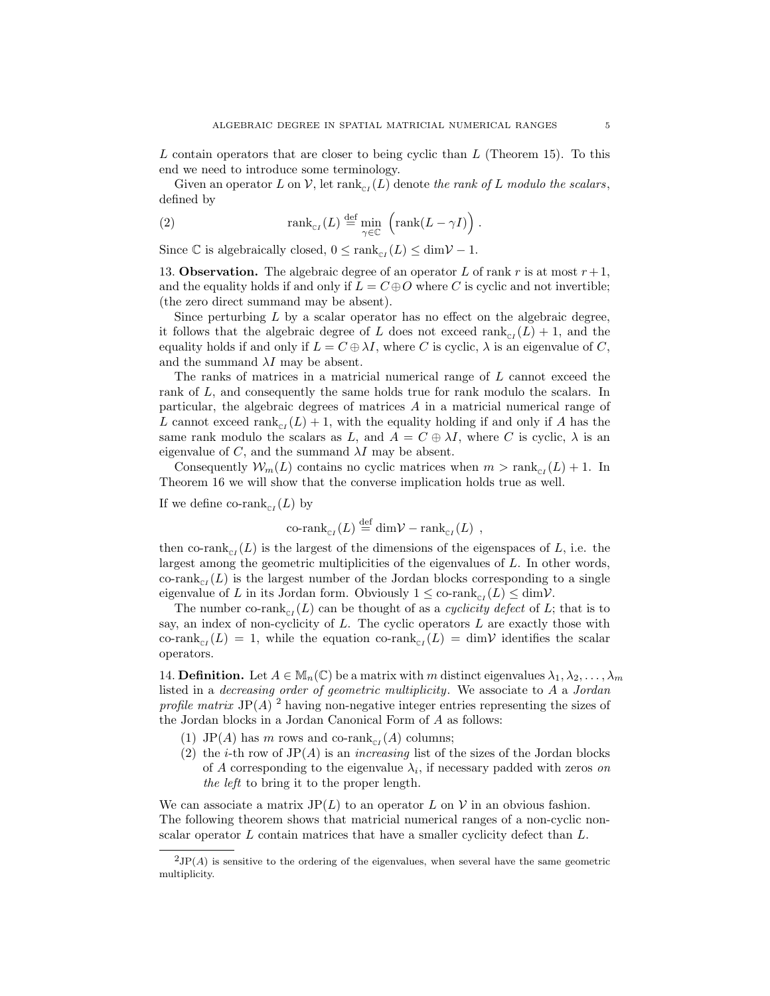L contain operators that are closer to being cyclic than  $L$  (Theorem 15). To this end we need to introduce some terminology.

Given an operator L on V, let  $\text{rank}_{\text{cr}}(L)$  denote the rank of L modulo the scalars, defined by

(2) 
$$
\text{rank}_{\text{cr}}(L) \stackrel{\text{def}}{=} \min_{\gamma \in \mathbb{C}} \left( \text{rank}(L - \gamma I) \right).
$$

Since  $\mathbb C$  is algebraically closed,  $0 \leq \text{rank}_{\text{cr}}(L) \leq \dim \mathcal V - 1$ .

13. **Observation.** The algebraic degree of an operator L of rank r is at most  $r + 1$ , and the equality holds if and only if  $L = C \oplus O$  where C is cyclic and not invertible; (the zero direct summand may be absent).

Since perturbing  $L$  by a scalar operator has no effect on the algebraic degree, it follows that the algebraic degree of L does not exceed  $\text{rank}_{\text{cr}}(L) + 1$ , and the equality holds if and only if  $L = C \oplus \lambda I$ , where C is cyclic,  $\lambda$  is an eigenvalue of C, and the summand  $\lambda I$  may be absent.

The ranks of matrices in a matricial numerical range of L cannot exceed the rank of L, and consequently the same holds true for rank modulo the scalars. In particular, the algebraic degrees of matrices A in a matricial numerical range of L cannot exceed  $\text{rank}_{\text{C}I}(L) + 1$ , with the equality holding if and only if A has the same rank modulo the scalars as L, and  $A = C \oplus \lambda I$ , where C is cyclic,  $\lambda$  is an eigenvalue of  $C$ , and the summand  $\lambda I$  may be absent.

Consequently  $\mathcal{W}_m(L)$  contains no cyclic matrices when  $m > \text{rank}_{\text{C}I}(L) + 1$ . In Theorem 16 we will show that the converse implication holds true as well.

If we define co-rank<sub>c<sub>I</sub></sub> $(L)$  by

co-rank<sub>cr</sub>
$$
(L) \stackrel{\text{def}}{=} \dim \mathcal{V} - \text{rank}_{cr}(L)
$$
,

then co-rank<sub>c<sub>I</sub></sub>(*L*) is the largest of the dimensions of the eigenspaces of *L*, i.e. the largest among the geometric multiplicities of the eigenvalues of L. In other words, co-rank<sub>c<sub>I</sub></sub> $(L)$  is the largest number of the Jordan blocks corresponding to a single eigenvalue of L in its Jordan form. Obviously  $1 \leq \text{co-rank}_{\text{cr}}(L) \leq \dim \mathcal{V}$ .

The number co-rank<sub>CI</sub>(L) can be thought of as a *cyclicity defect* of L; that is to say, an index of non-cyclicity of  $L$ . The cyclic operators  $L$  are exactly those with co-rank<sub>cI</sub>(L) = 1, while the equation co-rank<sub>c<sub>I</sub></sub>(L) = dim $\mathcal V$  identifies the scalar operators.

14. **Definition.** Let  $A \in M_n(\mathbb{C})$  be a matrix with m distinct eigenvalues  $\lambda_1, \lambda_2, \ldots, \lambda_m$ listed in a decreasing order of geometric multiplicity. We associate to A a Jordan profile matrix JP(A)<sup>2</sup> having non-negative integer entries representing the sizes of the Jordan blocks in a Jordan Canonical Form of A as follows:

- (1) JP(A) has m rows and co-rank<sub>c<sub>I</sub></sub>(A) columns;
- (2) the *i*-th row of  $JP(A)$  is an *increasing* list of the sizes of the Jordan blocks of A corresponding to the eigenvalue  $\lambda_i$ , if necessary padded with zeros on the left to bring it to the proper length.

We can associate a matrix  $JP(L)$  to an operator L on V in an obvious fashion. The following theorem shows that matricial numerical ranges of a non-cyclic nonscalar operator  $L$  contain matrices that have a smaller cyclicity defect than  $L$ .

 ${}^{2}JP(A)$  is sensitive to the ordering of the eigenvalues, when several have the same geometric multiplicity.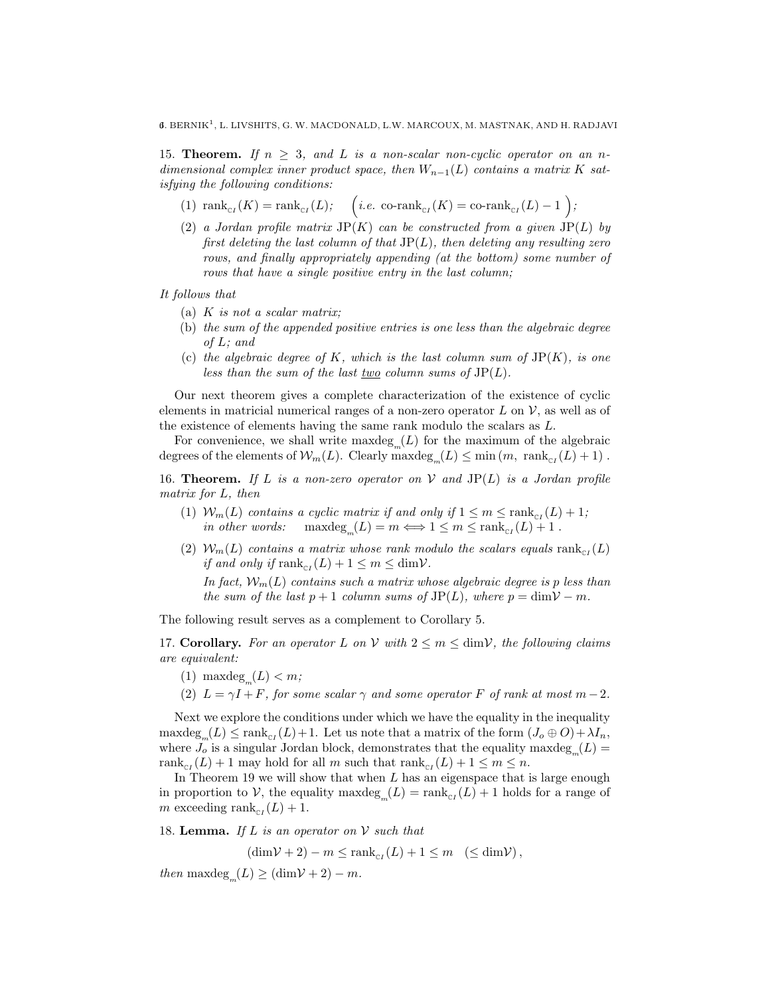15. **Theorem.** If  $n \geq 3$ , and L is a non-scalar non-cyclic operator on an ndimensional complex inner product space, then  $W_{n-1}(L)$  contains a matrix K satisfying the following conditions:

- (1)  $\text{rank}_{\text{cr}}(K) = \text{rank}_{\text{cr}}(L); \quad \left(i.e. \text{ co-rank}_{\text{cr}}(K) = \text{ co-rank}_{\text{cr}}(L) 1\right);$
- (2) a Jordan profile matrix  $JP(K)$  can be constructed from a given  $JP(L)$  by first deleting the last column of that  $\text{JP}(L)$ , then deleting any resulting zero rows, and finally appropriately appending (at the bottom) some number of rows that have a single positive entry in the last column;

It follows that

- (a)  $K$  is not a scalar matrix;
- (b) the sum of the appended positive entries is one less than the algebraic degree of L; and
- (c) the algebraic degree of K, which is the last column sum of  $JP(K)$ , is one less than the sum of the last two column sums of  $JP(L)$ .

Our next theorem gives a complete characterization of the existence of cyclic elements in matricial numerical ranges of a non-zero operator  $L$  on  $\mathcal{V}$ , as well as of the existence of elements having the same rank modulo the scalars as L.

For convenience, we shall write  $maxdeg_m(L)$  for the maximum of the algebraic degrees of the elements of  $\mathcal{W}_m(L)$ . Clearly  $\max \text{deg}_m(L) \leq \min(m, \text{ rank}_{\text{cr}}(L) + 1)$ .

16. Theorem. If L is a non-zero operator on V and  $JP(L)$  is a Jordan profile matrix for L, then

- (1)  $W_m(L)$  contains a cyclic matrix if and only if  $1 \le m \le \text{rank}_{\text{cr}}(L) + 1$ ; in other words:  $(L) = m \Longleftrightarrow 1 \leq m \leq \text{rank}_{\text{C}I}(L) + 1.$
- (2)  $W_m(L)$  contains a matrix whose rank modulo the scalars equals  $\text{rank}_{\text{C}I}(L)$ if and only if  $\text{rank}_{\text{cr}}(L) + 1 \leq m \leq \text{dim} \mathcal{V}$ .

In fact,  $W_m(L)$  contains such a matrix whose algebraic degree is p less than the sum of the last  $p + 1$  column sums of  $JP(L)$ , where  $p = \dim V - m$ .

The following result serves as a complement to Corollary 5.

17. Corollary. For an operator L on V with  $2 \le m \le \dim V$ , the following claims are equivalent:

- (1) maxdeg<sub>m</sub> $(L) < m$ ;
- (2)  $L = \gamma I + F$ , for some scalar  $\gamma$  and some operator F of rank at most  $m-2$ .

Next we explore the conditions under which we have the equality in the inequality  $\text{maxdeg}_{m}(L) \leq \text{rank}_{\text{cr}}(L) + 1.$  Let us note that a matrix of the form  $(J_o \oplus O) + \lambda I_n$ , where  $J_o$  is a singular Jordan block, demonstrates that the equality maxdeg<sub>m</sub> $(L)$  = rank<sub>c<sub>I</sub></sub> $(L) + 1$  may hold for all m such that  $rank_{c}$ <sub>I</sub> $(L) + 1 \le m \le n$ .

In Theorem 19 we will show that when  $L$  has an eigenspace that is large enough in proportion to V, the equality  $\max \text{deg}_m(L) = \text{rank}_{\text{cr}}(L) + 1$  holds for a range of m exceeding  $\text{rank}_{\text{cr}}(L) + 1$ .

18. **Lemma.** If L is an operator on  $V$  such that

 $(\dim \mathcal{V} + 2) - m \leq \text{rank}_{\text{cr}}(L) + 1 \leq m \quad (\leq \dim \mathcal{V}),$ 

then  $\mathrm{maxdeg}_{m}(L) \geq (\dim \mathcal{V} + 2) - m.$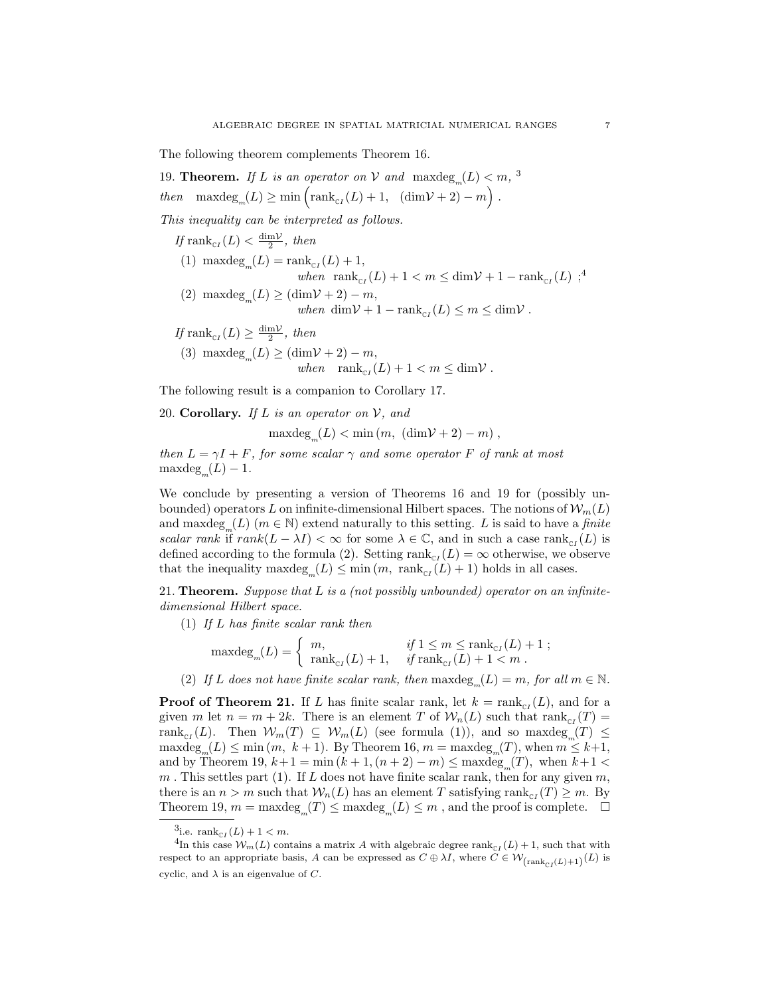The following theorem complements Theorem 16.

19. **Theorem.** If L is an operator on V and  $\max \text{deg}_m(L) < m$ , <sup>3</sup> then  $\max deg_m(L) \ge \min \left( \text{rank}_{\text{cr}}(L) + 1, \left( \dim \mathcal{V} + 2 \right) - m \right)$ .

This inequality can be interpreted as follows.

- If  $\text{rank}_{\text{C}(L)} < \frac{\dim \mathcal{V}}{2}$ , then
- (1) maxdeg<sub>m</sub> $(L)$  = rank<sub>c<sub>I</sub></sub> $(L)$  + 1, when  $\text{rank}_{\text{cr}}(L) + 1 < m \leq \text{dim}\mathcal{V} + 1 - \text{rank}_{\text{cr}}(L)$ ;<sup>4</sup>
- (2) max $\deg_m(L) \geq (\dim \mathcal{V} + 2) m$ , when  $\dim \mathcal{V} + 1 - \operatorname{rank}_{\mathbb{C}I}(L) \leq m \leq \dim \mathcal{V}$ .
- If rank<sub>c<sub>I</sub></sub> $(L) \ge \frac{\dim \mathcal{V}}{2}$ , then (3) maxdeg<sub>m</sub> $(L) \geq (\dim V + 2) - m$ , when  $\text{rank}_{\text{cr}}(L) + 1 < m \leq \text{dim}\mathcal{V}$ .

The following result is a companion to Corollary 17.

20. Corollary. If  $L$  is an operator on  $V$ , and

 $\text{maxdeg}_{m}(L) < \text{min}(m, (\text{dim}V + 2) - m),$ 

then  $L = \gamma I + F$ , for some scalar  $\gamma$  and some operator F of rank at most  $maxdeg_m(L) - 1.$ 

We conclude by presenting a version of Theorems 16 and 19 for (possibly unbounded) operators L on infinite-dimensional Hilbert spaces. The notions of  $\mathcal{W}_m(L)$ and  $\max \text{deg}_m(L)$   $(m \in \mathbb{N})$  extend naturally to this setting. L is said to have a finite scalar rank if rank $(L - \lambda I) < \infty$  for some  $\lambda \in \mathbb{C}$ , and in such a case rank<sub>CI</sub>(L) is defined according to the formula (2). Setting  $\text{rank}_{\text{cr}}(L) = \infty$  otherwise, we observe that the inequality  $\max \deg_m(L) \le \min(m, \text{ rank}_{\text{cr}}(L) + 1)$  holds in all cases.

21. Theorem. Suppose that  $L$  is a (not possibly unbounded) operator on an infinitedimensional Hilbert space.

(1) If L has finite scalar rank then

$$
\mathrm{maxdeg}_m(L) = \begin{cases} m, & \text{if } 1 \le m \le \mathrm{rank}_{\mathrm{c}_I}(L) + 1; \\ \mathrm{rank}_{\mathrm{c}_I}(L) + 1, & \text{if } \mathrm{rank}_{\mathrm{c}_I}(L) + 1 < m \end{cases}.
$$

(2) If L does not have finite scalar rank, then  $\text{maxdeg}_m(L) = m$ , for all  $m \in \mathbb{N}$ .

**Proof of Theorem 21.** If L has finite scalar rank, let  $k = \text{rank}_{\text{cr}}(L)$ , and for a given m let  $n = m + 2k$ . There is an element T of  $\mathcal{W}_n(L)$  such that  $\text{rank}_{\text{cr}}(T) =$ rank<sub>cI</sub>(L). Then  $W_m(T) \subseteq W_m(L)$  (see formula (1)), and so maxdeg<sub>m</sub>(T)  $\leq$  $\max \text{deg}_{m}(L) \le \min(m, k+1)$ . By Theorem 16,  $m = \max \text{deg}_{m}(T)$ , when  $m \le k+1$ , and by Theorem 19,  $k+1 = \min (k + 1, (n + 2) - m) \leq \max \deg_m(T)$ , when  $k+1 <$  $m$ . This settles part (1). If L does not have finite scalar rank, then for any given  $m$ , there is an  $n > m$  such that  $W_n(L)$  has an element T satisfying rank<sub>c<sub>I</sub></sub> $(T) \geq m$ . By Theorem 19,  $m = \text{maxdeg}_m(T) \leq \text{maxdeg}_m(L) \leq m$ , and the proof is complete.  $\Box$ 

<sup>&</sup>lt;sup>3</sup>i.e.  $\text{rank}_{\mathbb{C}I}(L) + 1 < m$ .

<sup>&</sup>lt;sup>4</sup>In this case  $W_m(L)$  contains a matrix A with algebraic degree rank<sub>CI</sub>(L) + 1, such that with respect to an appropriate basis, A can be expressed as  $C \oplus \lambda I$ , where  $C \in W_{(\text{rank}_{CI}(L)+1)}(L)$  is cyclic, and  $\lambda$  is an eigenvalue of C.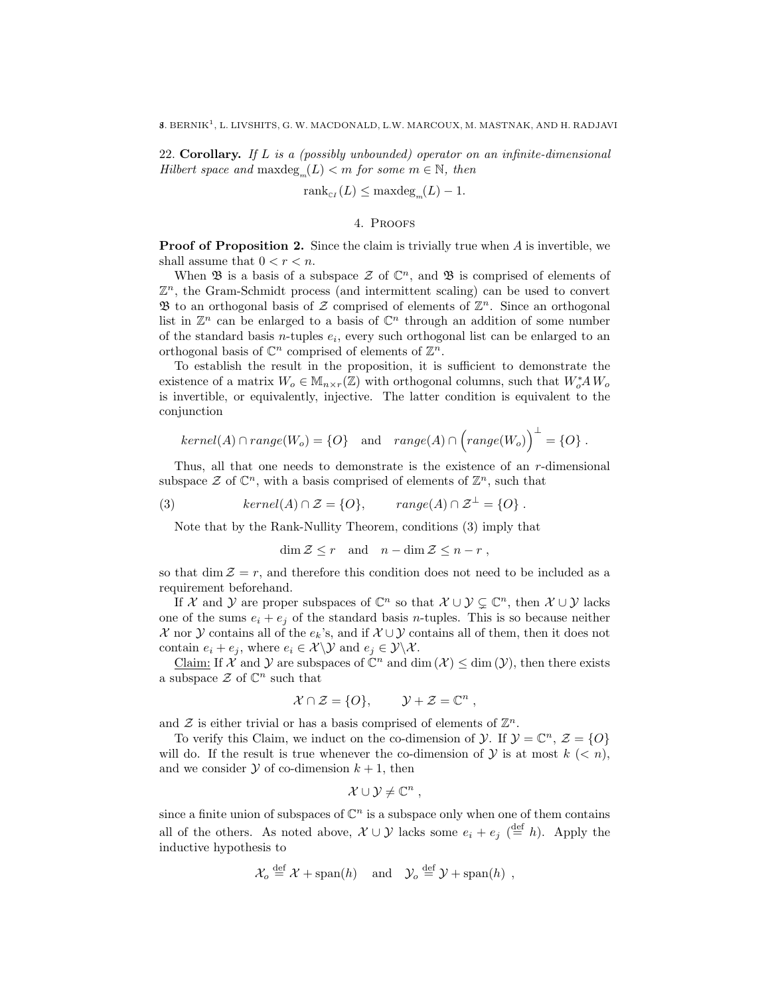22. Corollary. If L is a (possibly unbounded) operator on an infinite-dimensional  $Hilbert space and maxdeg<sub>m</sub>(L) < m for some m \in \mathbb{N}, then$ 

$$
\operatorname{rank}_{\operatorname{c}_I}(L) \le \operatorname{maxdeg}_m(L) - 1.
$$

## 4. Proofs

**Proof of Proposition 2.** Since the claim is trivially true when A is invertible, we shall assume that  $0 < r < n$ .

When  $\mathfrak B$  is a basis of a subspace  $\mathcal Z$  of  $\mathbb C^n$ , and  $\mathfrak B$  is comprised of elements of  $\mathbb{Z}^n$ , the Gram-Schmidt process (and intermittent scaling) can be used to convert  $\mathfrak B$  to an orthogonal basis of  $\mathcal Z$  comprised of elements of  $\mathbb Z^n$ . Since an orthogonal list in  $\mathbb{Z}^n$  can be enlarged to a basis of  $\mathbb{C}^n$  through an addition of some number of the standard basis *n*-tuples  $e_i$ , every such orthogonal list can be enlarged to an orthogonal basis of  $\mathbb{C}^n$  comprised of elements of  $\mathbb{Z}^n$ .

To establish the result in the proposition, it is sufficient to demonstrate the existence of a matrix  $W_o \in M_{n \times r}(\mathbb{Z})$  with orthogonal columns, such that  $W_o^* A W_o$ is invertible, or equivalently, injective. The latter condition is equivalent to the conjunction

$$
kernel(A) \cap range(W_o) = \{O\} \quad \text{and} \quad range(A) \cap \left(range(W_o)\right)^{\perp} = \{O\} .
$$

Thus, all that one needs to demonstrate is the existence of an  $r$ -dimensional subspace  $\mathcal{Z}$  of  $\mathbb{C}^n$ , with a basis comprised of elements of  $\mathbb{Z}^n$ , such that

(3) 
$$
kernel(A) \cap \mathcal{Z} = \{O\}, \qquad range(A) \cap \mathcal{Z}^{\perp} = \{O\}.
$$

Note that by the Rank-Nullity Theorem, conditions (3) imply that

 $\dim \mathcal{Z} \leq r$  and  $n - \dim \mathcal{Z} \leq n - r$ ,

so that dim  $\mathcal{Z} = r$ , and therefore this condition does not need to be included as a requirement beforehand.

If X and Y are proper subspaces of  $\mathbb{C}^n$  so that  $\mathcal{X} \cup \mathcal{Y} \subsetneq \mathbb{C}^n$ , then  $\mathcal{X} \cup \mathcal{Y}$  lacks one of the sums  $e_i + e_j$  of the standard basis *n*-tuples. This is so because neither X nor Y contains all of the  $e_k$ 's, and if  $\mathcal{X} \cup \mathcal{Y}$  contains all of them, then it does not contain  $e_i + e_j$ , where  $e_i \in \mathcal{X} \setminus \mathcal{Y}$  and  $e_j \in \mathcal{Y} \setminus \mathcal{X}$ .

Claim: If  $\mathcal X$  and  $\mathcal Y$  are subspaces of  $\mathbb C^n$  and  $\dim(\mathcal X) \leq \dim(\mathcal Y)$ , then there exists a subspace  $\mathcal Z$  of  $\mathbb C^n$  such that

$$
\mathcal{X} \cap \mathcal{Z} = \{O\}, \qquad \mathcal{Y} + \mathcal{Z} = \mathbb{C}^n,
$$

and  $\mathcal Z$  is either trivial or has a basis comprised of elements of  $\mathbb Z^n$ .

To verify this Claim, we induct on the co-dimension of  $\mathcal{Y}$ . If  $\mathcal{Y} = \mathbb{C}^n$ ,  $\mathcal{Z} = \{O\}$ will do. If the result is true whenever the co-dimension of  $\mathcal Y$  is at most  $k \leq n$ , and we consider  $Y$  of co-dimension  $k + 1$ , then

$$
\mathcal{X} \cup \mathcal{Y} \neq \mathbb{C}^n ,
$$

since a finite union of subspaces of  $\mathbb{C}^n$  is a subspace only when one of them contains all of the others. As noted above,  $\mathcal{X} \cup \mathcal{Y}$  lacks some  $e_i + e_j \stackrel{\text{def}}{=} h$ ). Apply the inductive hypothesis to

$$
\mathcal{X}_o \stackrel{\text{def}}{=} \mathcal{X} + \text{span}(h) \quad \text{and} \quad \mathcal{Y}_o \stackrel{\text{def}}{=} \mathcal{Y} + \text{span}(h) \ ,
$$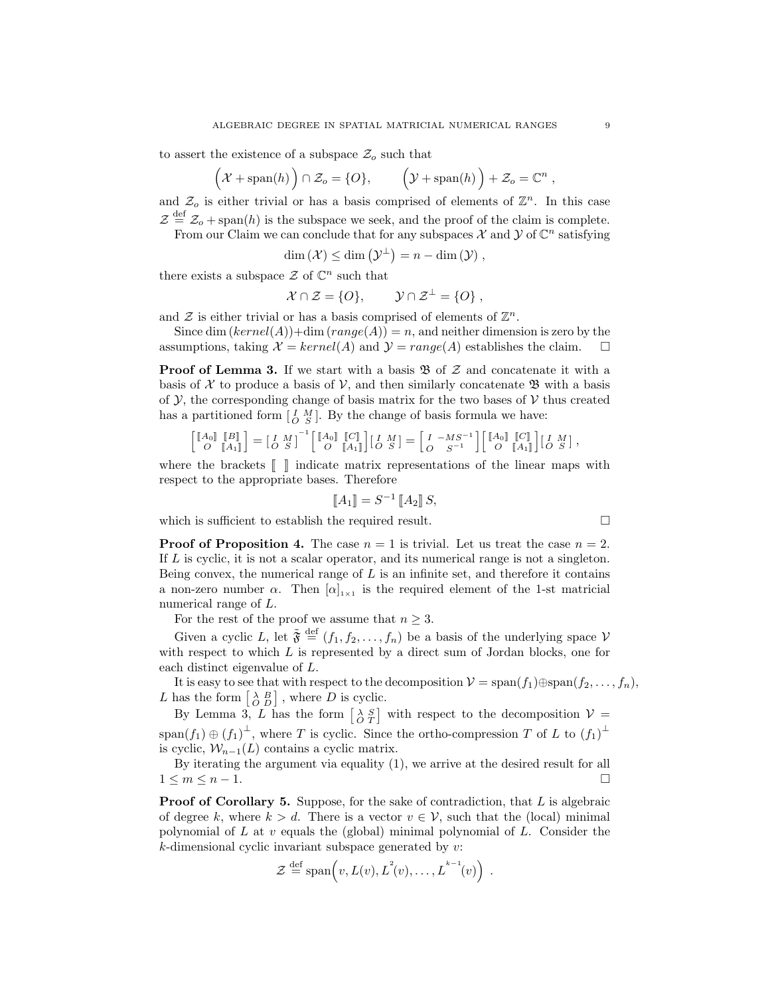to assert the existence of a subspace  $\mathcal{Z}_o$  such that

$$
(\mathcal{X} + \mathrm{span}(h)) \cap \mathcal{Z}_o = \{O\}, \qquad (\mathcal{Y} + \mathrm{span}(h)) + \mathcal{Z}_o = \mathbb{C}^n,
$$

and  $\mathcal{Z}_o$  is either trivial or has a basis comprised of elements of  $\mathbb{Z}^n$ . In this case  $\mathcal{Z} \stackrel{\text{def}}{=} \mathcal{Z}_o + \text{span}(h)$  is the subspace we seek, and the proof of the claim is complete.

From our Claim we can conclude that for any subspaces  $\mathcal X$  and  $\mathcal Y$  of  $\mathbb C^n$  satisfying

$$
\dim(\mathcal{X}) \leq \dim(\mathcal{Y}^{\perp}) = n - \dim(\mathcal{Y}),
$$

there exists a subspace  $\mathcal Z$  of  $\mathbb C^n$  such that

$$
\mathcal{X} \cap \mathcal{Z} = \{O\}, \qquad \mathcal{Y} \cap \mathcal{Z}^{\perp} = \{O\} \ ,
$$

and  $\mathcal Z$  is either trivial or has a basis comprised of elements of  $\mathbb Z^n$ .

Since dim  $(kernel(A)) + \dim (range(A)) = n$ , and neither dimension is zero by the assumptions, taking  $\mathcal{X} = kernel(A)$  and  $\mathcal{Y} = range(A)$  establishes the claim.

**Proof of Lemma 3.** If we start with a basis  $\mathfrak{B}$  of  $\mathcal{Z}$  and concatenate it with a basis of X to produce a basis of V, and then similarly concatenate  $\mathfrak{B}$  with a basis of  $\mathcal{Y}$ , the corresponding change of basis matrix for the two bases of  $\mathcal{V}$  thus created has a partitioned form  $\begin{bmatrix} I & M \\ O & S \end{bmatrix}$ . By the change of basis formula we have:

$$
\begin{bmatrix}\n\begin{bmatrix}\nA_0\n\end{bmatrix}\n\begin{bmatrix}\nB\n\end{bmatrix}\n\end{bmatrix} =\n\begin{bmatrix}\nI & M\n\end{bmatrix}^{-1}\n\begin{bmatrix}\nM_0\n\end{bmatrix}\n\begin{bmatrix}\nI_{0}\n\end{bmatrix}\n\begin{bmatrix}\nI \\
O\n\end{bmatrix}\n\begin{bmatrix}\nI \\
O\n\end{bmatrix} =\n\begin{bmatrix}\nI & -MS^{-1} \\
O & S^{-1}\n\end{bmatrix}\n\begin{bmatrix}\nI_{0}\n\end{bmatrix}\n\begin{bmatrix}\nI \\
O\n\end{bmatrix}\n\begin{bmatrix}\nI \\
I\n\end{bmatrix}\n\end{bmatrix}\n\begin{bmatrix}\nI \\
O\n\end{bmatrix}.
$$

where the brackets J K indicate matrix representations of the linear maps with respect to the appropriate bases. Therefore

$$
\llbracket A_1 \rrbracket = S^{-1} \llbracket A_2 \rrbracket S,
$$

which is sufficient to establish the required result.

**Proof of Proposition 4.** The case  $n = 1$  is trivial. Let us treat the case  $n = 2$ . If L is cyclic, it is not a scalar operator, and its numerical range is not a singleton. Being convex, the numerical range of  $L$  is an infinite set, and therefore it contains a non-zero number  $\alpha$ . Then  $[\alpha]_{1\times1}$  is the required element of the 1-st matricial numerical range of L.

For the rest of the proof we assume that  $n \geq 3$ .

Given a cyclic L, let  $\tilde{\mathfrak{F}} \stackrel{\text{def}}{=} (f_1, f_2, \ldots, f_n)$  be a basis of the underlying space V with respect to which  $L$  is represented by a direct sum of Jordan blocks, one for each distinct eigenvalue of L.

It is easy to see that with respect to the decomposition  $V = \text{span}(f_1) \oplus \text{span}(f_2, \ldots, f_n)$ , L has the form  $\begin{bmatrix} \lambda & B \\ O & D \end{bmatrix}$ , where D is cyclic.

By Lemma 3, L has the form  $\begin{bmatrix} \lambda S \\ C T \end{bmatrix}$  with respect to the decomposition  $V =$ span $(f_1) \oplus (f_1)^{\perp}$ , where T is cyclic. Since the ortho-compression T of L to  $(f_1)^{\perp}$ is cyclic,  $W_{n-1}(L)$  contains a cyclic matrix.

By iterating the argument via equality (1), we arrive at the desired result for all  $1 \leq m \leq n-1$ .

**Proof of Corollary 5.** Suppose, for the sake of contradiction, that  $L$  is algebraic of degree k, where  $k > d$ . There is a vector  $v \in V$ , such that the (local) minimal polynomial of L at  $v$  equals the (global) minimal polynomial of L. Consider the  $k$ -dimensional cyclic invariant subspace generated by  $v$ :

$$
\mathcal{Z} \stackrel{\text{def}}{=} \text{span}\left(v, L(v), L^{2}(v), \ldots, L^{k-1}(v)\right) .
$$

$$
\qquad \qquad \Box
$$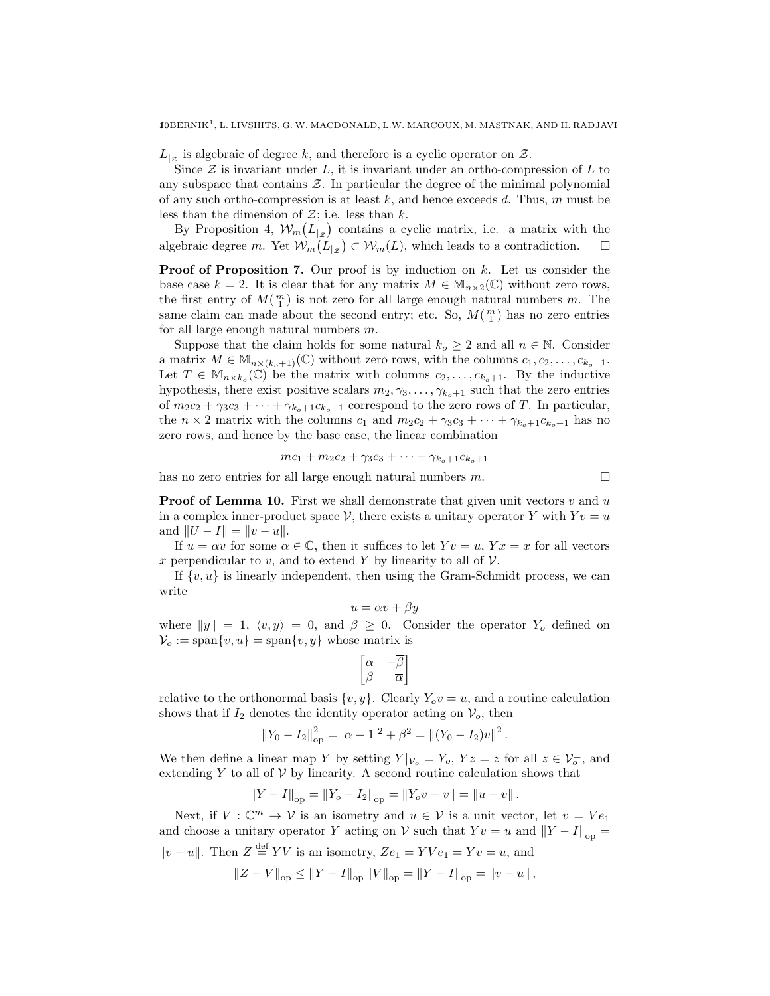$L_{|z}$  is algebraic of degree k, and therefore is a cyclic operator on  $\mathcal{Z}$ .

Since  $\mathcal Z$  is invariant under L, it is invariant under an ortho-compression of L to any subspace that contains  $\mathcal Z$ . In particular the degree of the minimal polynomial of any such ortho-compression is at least  $k$ , and hence exceeds  $d$ . Thus,  $m$  must be less than the dimension of  $\mathcal{Z}$ ; i.e. less than  $k$ .

By Proposition 4,  $\mathcal{W}_m(L_{|z})$  contains a cyclic matrix, i.e. a matrix with the algebraic degree m. Yet  $\mathcal{W}_m(L_{|z}) \subset \mathcal{W}_m(L)$ , which leads to a contradiction.  $\Box$ 

**Proof of Proposition 7.** Our proof is by induction on  $k$ . Let us consider the base case  $k = 2$ . It is clear that for any matrix  $M \in M_{n \times 2}(\mathbb{C})$  without zero rows, the first entry of  $M(\frac{m}{1})$  is not zero for all large enough natural numbers m. The same claim can made about the second entry; etc. So,  $M(\frac{m}{1})$  has no zero entries for all large enough natural numbers m.

Suppose that the claim holds for some natural  $k_o \geq 2$  and all  $n \in \mathbb{N}$ . Consider a matrix  $M \in M_{n \times (k_0+1)}(\mathbb{C})$  without zero rows, with the columns  $c_1, c_2, \ldots, c_{k_0+1}$ . Let  $T \in M_{n \times k_o}(\mathbb{C})$  be the matrix with columns  $c_2, \ldots, c_{k_o+1}$ . By the inductive hypothesis, there exist positive scalars  $m_2, \gamma_3, \ldots, \gamma_{k_o+1}$  such that the zero entries of  $m_2c_2 + \gamma_3c_3 + \cdots + \gamma_{k_o+1}c_{k_o+1}$  correspond to the zero rows of T. In particular, the  $n \times 2$  matrix with the columns  $c_1$  and  $m_2c_2 + \gamma_3c_3 + \cdots + \gamma_{k_o+1}c_{k_o+1}$  has no zero rows, and hence by the base case, the linear combination

$$
mc_1 + m_2c_2 + \gamma_3c_3 + \cdots + \gamma_{k_o+1}c_{k_o+1}
$$

has no zero entries for all large enough natural numbers  $m$ .

**Proof of Lemma 10.** First we shall demonstrate that given unit vectors  $v$  and  $u$ in a complex inner-product space V, there exists a unitary operator Y with  $Yv = u$ and  $||U - I|| = ||v - u||$ .

If  $u = \alpha v$  for some  $\alpha \in \mathbb{C}$ , then it suffices to let  $Yv = u$ ,  $Yx = x$  for all vectors x perpendicular to v, and to extend Y by linearity to all of  $\mathcal V$ .

If  $\{v, u\}$  is linearly independent, then using the Gram-Schmidt process, we can write

$$
u = \alpha v + \beta y
$$

where  $||y|| = 1$ ,  $\langle v, y \rangle = 0$ , and  $\beta \ge 0$ . Consider the operator Y<sub>o</sub> defined on  $V_o := \text{span}\{v, u\} = \text{span}\{v, y\}$  whose matrix is

$$
\begin{bmatrix} \alpha & -\overline{\beta} \\ \beta & \overline{\alpha} \end{bmatrix}
$$

relative to the orthonormal basis  $\{v, y\}$ . Clearly  $Y_o v = u$ , and a routine calculation shows that if  $I_2$  denotes the identity operator acting on  $\mathcal{V}_o$ , then

$$
||Y_0 - I_2||_{op}^2 = |\alpha - 1|^2 + \beta^2 = ||(Y_0 - I_2)v||^2.
$$

We then define a linear map Y by setting  $Y|_{\mathcal{V}_o} = Y_o$ ,  $Yz = z$  for all  $z \in \mathcal{V}_o^{\perp}$ , and extending  $Y$  to all of  $V$  by linearity. A second routine calculation shows that

$$
||Y - I||_{op} = ||Y_o - I_2||_{op} = ||Y_o v - v|| = ||u - v||.
$$

Next, if  $V: \mathbb{C}^m \to V$  is an isometry and  $u \in V$  is a unit vector, let  $v = Ve_1$ and choose a unitary operator Y acting on V such that  $Yv = u$  and  $||Y - I||_{\text{on}} =$  $||v - u||$ . Then  $Z \stackrel{\text{def}}{=} YV$  is an isometry,  $Ze_1 = YVe_1 = Yv = u$ , and

$$
||Z - V||_{op} \le ||Y - I||_{op} ||V||_{op} = ||Y - I||_{op} = ||v - u||,
$$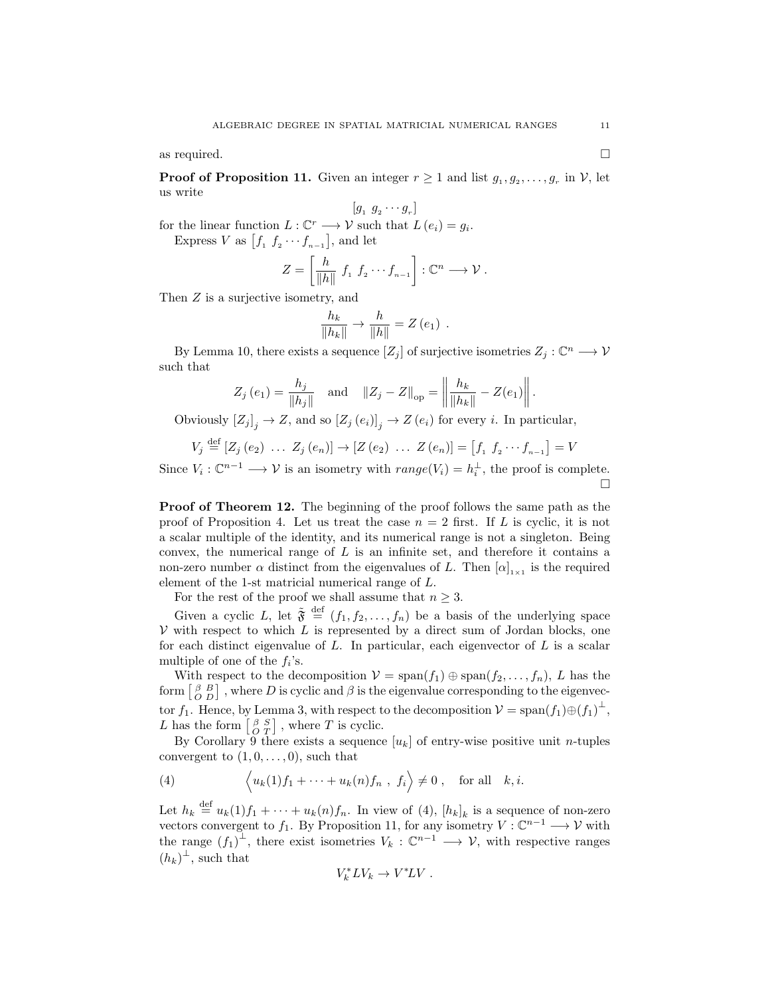as required.  $\Box$ 

**Proof of Proposition 11.** Given an integer  $r \geq 1$  and list  $g_1, g_2, \ldots, g_r$  in  $\mathcal{V}$ , let us write

$$
[g_1 \ g_2 \cdots g_r]
$$

for the linear function  $L: \mathbb{C}^r \longrightarrow \mathcal{V}$  such that  $L(e_i) = g_i$ . Express V as  $[f_1 \, f_2 \cdots f_{n-1}]$ , and let

$$
Z = \left[\frac{h}{\|h\|} f_1 f_2 \cdots f_{n-1}\right] : \mathbb{C}^n \longrightarrow \mathcal{V}.
$$

Then  $Z$  is a surjective isometry, and

$$
\frac{h_k}{\|h_k\|} \to \frac{h}{\|h\|} = Z(e_1) .
$$

By Lemma 10, there exists a sequence  $[Z_j]$  of surjective isometries  $Z_j : \mathbb{C}^n \longrightarrow \mathcal{V}$ such that

$$
Z_j(e_1) = \frac{h_j}{\|h_j\|}
$$
 and  $\|Z_j - Z\|_{op} = \left\| \frac{h_k}{\|h_k\|} - Z(e_1) \right\|$ .

Obviously  $[Z_j]_j \to Z$ , and so  $[Z_j(e_i)]_j \to Z(e_i)$  for every *i*. In particular,

$$
V_j \stackrel{\text{def}}{=} [Z_j(e_2) \ \ldots \ Z_j(e_n)] \to [Z(e_2) \ \ldots \ Z(e_n)] = [f_1 \ f_2 \cdots f_{n-1}] = V
$$

Since  $V_i: \mathbb{C}^{n-1} \longrightarrow \mathcal{V}$  is an isometry with  $range(V_i) = h_i^{\perp}$ , the proof is complete.  $\Box$ 

Proof of Theorem 12. The beginning of the proof follows the same path as the proof of Proposition 4. Let us treat the case  $n = 2$  first. If L is cyclic, it is not a scalar multiple of the identity, and its numerical range is not a singleton. Being convex, the numerical range of  $L$  is an infinite set, and therefore it contains a non-zero number  $\alpha$  distinct from the eigenvalues of L. Then  $[\alpha]_{1\times1}$  is the required element of the 1-st matricial numerical range of L.

For the rest of the proof we shall assume that  $n \geq 3$ .

Given a cyclic L, let  $\tilde{\mathfrak{F}} \stackrel{\text{def}}{=} (f_1, f_2, \ldots, f_n)$  be a basis of the underlying space  $V$  with respect to which  $L$  is represented by a direct sum of Jordan blocks, one for each distinct eigenvalue of  $L$ . In particular, each eigenvector of  $L$  is a scalar multiple of one of the  $f_i$ 's.

With respect to the decomposition  $V = \text{span}(f_1) \oplus \text{span}(f_2, \ldots, f_n)$ , L has the form  $\begin{bmatrix} \beta & B \\ O & D \end{bmatrix}$ , where D is cyclic and  $\beta$  is the eigenvalue corresponding to the eigenvector  $f_1$ . Hence, by Lemma 3, with respect to the decomposition  $V = \text{span}(f_1) \oplus (f_1)^{\perp}$ , L has the form  $\begin{bmatrix} \beta & S \\ O & T \end{bmatrix}$ , where T is cyclic.

By Corollary  $\mathfrak{I}$  there exists a sequence  $[u_k]$  of entry-wise positive unit *n*-tuples convergent to  $(1, 0, \ldots, 0)$ , such that

(4) 
$$
\left\langle u_k(1)f_1 + \cdots + u_k(n)f_n, f_i \right\rangle \neq 0, \text{ for all } k, i.
$$

Let  $h_k \stackrel{\text{def}}{=} u_k(1) f_1 + \cdots + u_k(n) f_n$ . In view of (4),  $[h_k]_k$  is a sequence of non-zero vectors convergent to  $f_1$ . By Proposition 11, for any isometry  $V : \mathbb{C}^{n-1} \longrightarrow V$  with the range  $(f_1)^{\perp}$ , there exist isometries  $V_k: \mathbb{C}^{n-1} \longrightarrow V$ , with respective ranges  $(h_k)^{\perp}$ , such that

$$
V_k^* LV_k \to V^* LV.
$$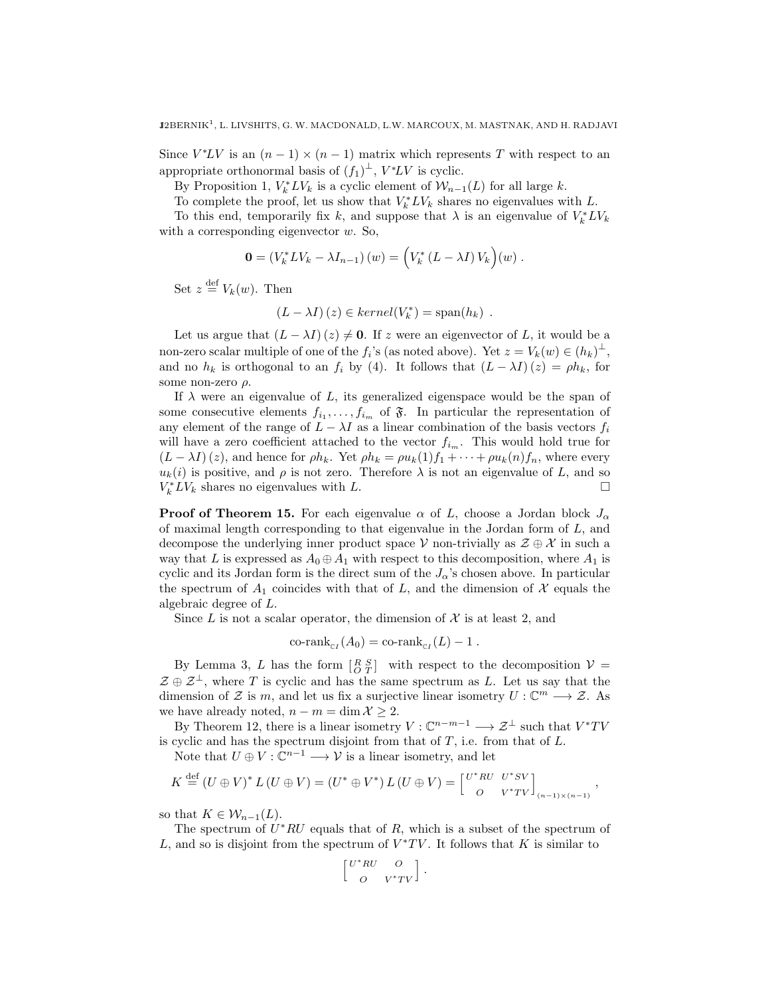Since  $V^*LV$  is an  $(n-1) \times (n-1)$  matrix which represents T with respect to an appropriate orthonormal basis of  $(f_1)^{\perp}$ ,  $V^*LV$  is cyclic.

By Proposition 1,  $V_k^* L V_k$  is a cyclic element of  $\mathcal{W}_{n-1}(L)$  for all large k.

To complete the proof, let us show that  $V_k^* L V_k$  shares no eigenvalues with L.

To this end, temporarily fix k, and suppose that  $\lambda$  is an eigenvalue of  $V_k^* L V_k$ with a corresponding eigenvector  $w$ . So,

$$
\mathbf{0} = (V_k^* L V_k - \lambda I_{n-1})(w) = (V_k^* (L - \lambda I) V_k)(w).
$$

Set  $z \stackrel{\text{def}}{=} V_k(w)$ . Then

$$
(L - \lambda I)(z) \in kernel(V_k^*) = span(h_k) .
$$

Let us argue that  $(L - \lambda I)(z) \neq 0$ . If z were an eigenvector of L, it would be a non-zero scalar multiple of one of the  $f_i$ 's (as noted above). Yet  $z = V_k(w) \in (h_k)^{\perp}$ , and no  $h_k$  is orthogonal to an  $f_i$  by (4). It follows that  $(L - \lambda I)(z) = \rho h_k$ , for some non-zero  $\rho$ .

If  $\lambda$  were an eigenvalue of L, its generalized eigenspace would be the span of some consecutive elements  $f_{i_1}, \ldots, f_{i_m}$  of  $\mathfrak{F}$ . In particular the representation of any element of the range of  $L - \lambda I$  as a linear combination of the basis vectors  $f_i$ will have a zero coefficient attached to the vector  $f_{i_m}$ . This would hold true for  $(L - \lambda I)(z)$ , and hence for  $\rho h_k$ . Yet  $\rho h_k = \rho u_k(1) f_1 + \cdots + \rho u_k(n) f_n$ , where every  $u_k(i)$  is positive, and  $\rho$  is not zero. Therefore  $\lambda$  is not an eigenvalue of L, and so  $V_k^* L V_k$  shares no eigenvalues with L.

**Proof of Theorem 15.** For each eigenvalue  $\alpha$  of L, choose a Jordan block  $J_{\alpha}$ of maximal length corresponding to that eigenvalue in the Jordan form of  $L$ , and decompose the underlying inner product space V non-trivially as  $\mathcal{Z} \oplus \mathcal{X}$  in such a way that L is expressed as  $A_0 \oplus A_1$  with respect to this decomposition, where  $A_1$  is cyclic and its Jordan form is the direct sum of the  $J_{\alpha}$ 's chosen above. In particular the spectrum of  $A_1$  coincides with that of L, and the dimension of X equals the algebraic degree of L.

Since  $L$  is not a scalar operator, the dimension of  $\mathcal X$  is at least 2, and

$$
\operatorname{co-rank}_{\operatorname{c}I}(A_0) = \operatorname{co-rank}_{\operatorname{c}I}(L) - 1.
$$

By Lemma 3, L has the form  $\begin{bmatrix} R & S \\ O & T \end{bmatrix}$  with respect to the decomposition  $V =$  $\mathcal{Z} \oplus \mathcal{Z}^{\perp}$ , where T is cyclic and has the same spectrum as L. Let us say that the dimension of Z is m, and let us fix a surjective linear isometry  $U: \mathbb{C}^m \longrightarrow \mathcal{Z}$ . As we have already noted,  $n - m = \dim \mathcal{X} \geq 2$ .

By Theorem 12, there is a linear isometry  $V : \mathbb{C}^{n-m-1} \longrightarrow \mathcal{Z}^{\perp}$  such that  $V^*TV$ is cyclic and has the spectrum disjoint from that of  $T$ , i.e. from that of  $L$ .

Note that  $U \oplus V : \mathbb{C}^{n-1} \longrightarrow V$  is a linear isometry, and let

$$
K \stackrel{\text{def}}{=} (U \oplus V)^* L (U \oplus V) = (U^* \oplus V^*) L (U \oplus V) = \begin{bmatrix} U^* R U & U^* S V \\ O & V^* T V \end{bmatrix}_{(n-1)\times (n-1)},
$$

so that  $K \in \mathcal{W}_{n-1}(L)$ .

The spectrum of  $U^*RU$  equals that of  $R$ , which is a subset of the spectrum of L, and so is disjoint from the spectrum of  $V^*TV$ . It follows that K is similar to

$$
\begin{bmatrix} U^*RU & O \\[1mm] O & V^*TV \end{bmatrix} \, .
$$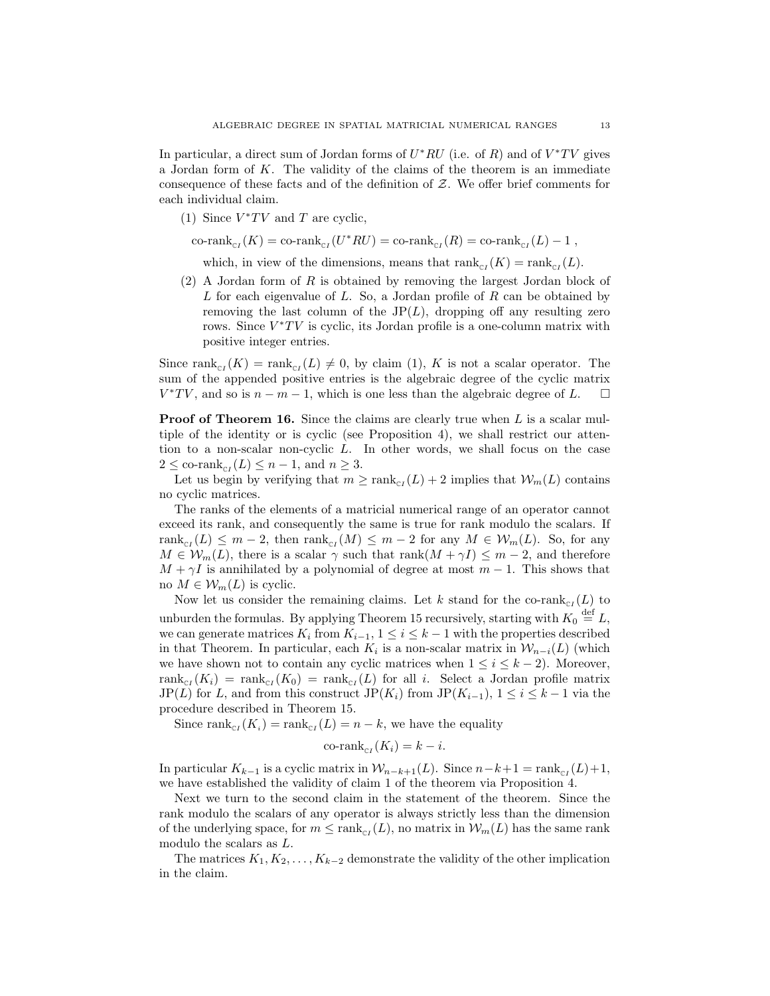In particular, a direct sum of Jordan forms of  $U^*RU$  (i.e. of R) and of  $V^*TV$  gives a Jordan form of K. The validity of the claims of the theorem is an immediate consequence of these facts and of the definition of  $Z$ . We offer brief comments for each individual claim.

- (1) Since  $V^*TV$  and T are cyclic,
- $\text{co-rank}_{\text{cr}}(K) = \text{co-rank}_{\text{cr}}(U^*RU) = \text{co-rank}_{\text{cr}}(R) = \text{co-rank}_{\text{cr}}(L) 1$ ,

which, in view of the dimensions, means that  $\text{rank}_{\text{cr}}(K) = \text{rank}_{\text{cr}}(L)$ .

(2) A Jordan form of R is obtained by removing the largest Jordan block of  $L$  for each eigenvalue of  $L$ . So, a Jordan profile of  $R$  can be obtained by removing the last column of the  $JP(L)$ , dropping off any resulting zero rows. Since  $V^*TV$  is cyclic, its Jordan profile is a one-column matrix with positive integer entries.

Since  $\text{rank}_{\text{cr}}(K) = \text{rank}_{\text{cr}}(L) \neq 0$ , by claim (1), K is not a scalar operator. The sum of the appended positive entries is the algebraic degree of the cyclic matrix  $V^*TV$ , and so is  $n - m - 1$ , which is one less than the algebraic degree of L.  $\square$ 

**Proof of Theorem 16.** Since the claims are clearly true when L is a scalar multiple of the identity or is cyclic (see Proposition 4), we shall restrict our attention to a non-scalar non-cyclic L. In other words, we shall focus on the case  $2 \leq \text{co-rank}_{\text{cr}}(L) \leq n-1$ , and  $n \geq 3$ .

Let us begin by verifying that  $m \geq \text{rank}_{\text{C}I}(L) + 2$  implies that  $\mathcal{W}_m(L)$  contains no cyclic matrices.

The ranks of the elements of a matricial numerical range of an operator cannot exceed its rank, and consequently the same is true for rank modulo the scalars. If  $rank_{\text{cr}}(L) \leq m-2$ , then  $rank_{\text{cr}}(M) \leq m-2$  for any  $M \in \mathcal{W}_m(L)$ . So, for any  $M \in \mathcal{W}_m(L)$ , there is a scalar  $\gamma$  such that rank $(M + \gamma I) \leq m - 2$ , and therefore  $M + \gamma I$  is annihilated by a polynomial of degree at most  $m - 1$ . This shows that no  $M \in \mathcal{W}_m(L)$  is cyclic.

Now let us consider the remaining claims. Let k stand for the co-rank $_{\text{cr}}(L)$  to unburden the formulas. By applying Theorem 15 recursively, starting with  $K_0 \stackrel{\text{def}}{=} L$ , we can generate matrices  $K_i$  from  $K_{i-1}$ ,  $1 \leq i \leq k-1$  with the properties described in that Theorem. In particular, each  $K_i$  is a non-scalar matrix in  $\mathcal{W}_{n-i}(L)$  (which we have shown not to contain any cyclic matrices when  $1 \leq i \leq k-2$ ). Moreover,  $rank_{\text{cr}}(K_i) = rank_{\text{cr}}(K_0) = rank_{\text{cr}}(L)$  for all i. Select a Jordan profile matrix JP(L) for L, and from this construct JP( $K_i$ ) from JP( $K_{i-1}$ ),  $1 \leq i \leq k-1$  via the procedure described in Theorem 15.

Since  $\text{rank}_{\text{cr}}(K_i) = \text{rank}_{\text{cr}}(L) = n - k$ , we have the equality

$$
\operatorname{co-rank}_{\mathbb{C}I}(K_i) = k - i.
$$

In particular  $K_{k-1}$  is a cyclic matrix in  $\mathcal{W}_{n-k+1}(L)$ . Since  $n-k+1 = \text{rank}_{\text{cr}}(L)+1$ , we have established the validity of claim 1 of the theorem via Proposition 4.

Next we turn to the second claim in the statement of the theorem. Since the rank modulo the scalars of any operator is always strictly less than the dimension of the underlying space, for  $m \leq \text{rank}_{\text{C}(L)}$ , no matrix in  $\mathcal{W}_m(L)$  has the same rank modulo the scalars as L.

The matrices  $K_1, K_2, \ldots, K_{k-2}$  demonstrate the validity of the other implication in the claim.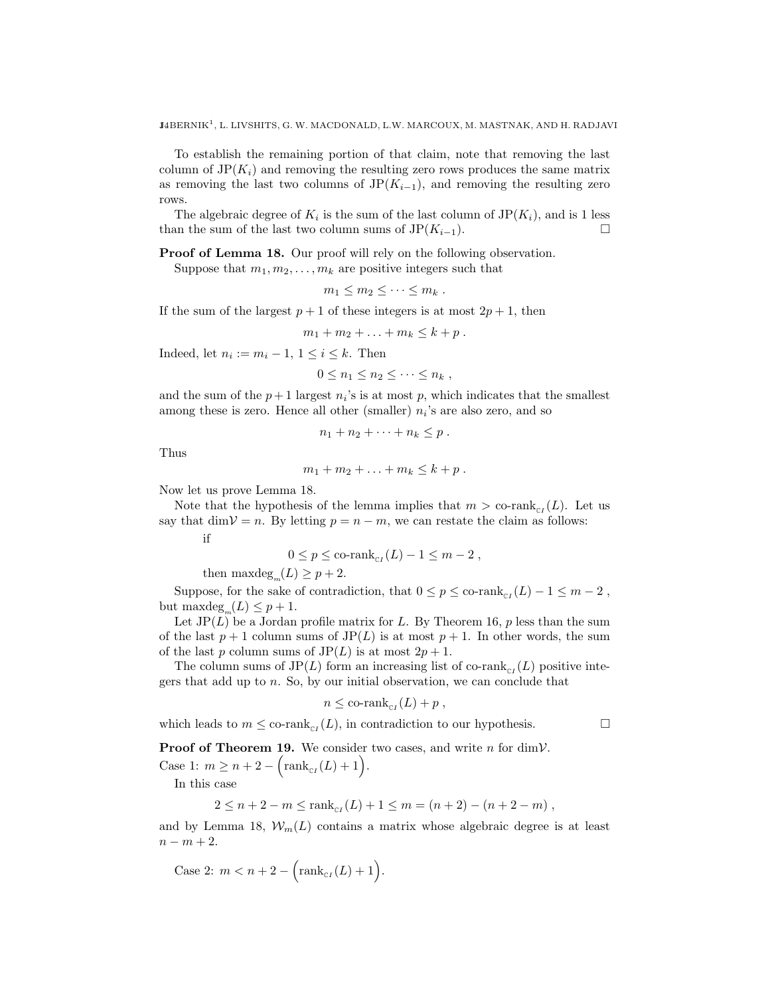To establish the remaining portion of that claim, note that removing the last column of  $JP(K_i)$  and removing the resulting zero rows produces the same matrix as removing the last two columns of  $JP(K_{i-1})$ , and removing the resulting zero rows.

The algebraic degree of  $K_i$  is the sum of the last column of  $JP(K_i)$ , and is 1 less than the sum of the last two column sums of  $JP(K_{i-1})$ .

Proof of Lemma 18. Our proof will rely on the following observation.

Suppose that  $m_1, m_2, \ldots, m_k$  are positive integers such that

$$
m_1\leq m_2\leq \cdots \leq m_k.
$$

If the sum of the largest  $p + 1$  of these integers is at most  $2p + 1$ , then

$$
m_1+m_2+\ldots+m_k\leq k+p.
$$

Indeed, let  $n_i := m_i - 1$ ,  $1 \leq i \leq k$ . Then

$$
0 \leq n_1 \leq n_2 \leq \cdots \leq n_k,
$$

and the sum of the  $p+1$  largest  $n<sub>i</sub>$ 's is at most p, which indicates that the smallest among these is zero. Hence all other (smaller)  $n_i$ 's are also zero, and so

$$
n_1+n_2+\cdots+n_k\leq p.
$$

Thus

$$
m_1+m_2+\ldots+m_k\leq k+p.
$$

Now let us prove Lemma 18.

Note that the hypothesis of the lemma implies that  $m > \text{co-rank}_{\text{cr}}(L)$ . Let us say that dim $\mathcal{V} = n$ . By letting  $p = n - m$ , we can restate the claim as follows:

if

$$
0 \le p \le \operatorname{co-rank}_{\mathrm{c}I}(L) - 1 \le m - 2,
$$

then  $\mathrm{maxdeg}_{m}(L) \geq p+2$ .

Suppose, for the sake of contradiction, that  $0 \le p \le \text{co-rank}_{\text{cr}}(L) - 1 \le m - 2$ , but  $\mathrm{maxdeg}_{m}(L) \leq p+1$ .

Let  $\text{JP}(L)$  be a Jordan profile matrix for L. By Theorem 16, p less than the sum of the last  $p + 1$  column sums of  $JP(L)$  is at most  $p + 1$ . In other words, the sum of the last p column sums of  $JP(L)$  is at most  $2p + 1$ .

The column sums of JP(L) form an increasing list of co-rank<sub>c<sub>I</sub></sub>(L) positive integers that add up to  $n$ . So, by our initial observation, we can conclude that

$$
n \leq \operatorname{co-rank}_{\mathbb{C}I}(L) + p,
$$

which leads to  $m \leq$  co-rank<sub>CI</sub>(*L*), in contradiction to our hypothesis.

**Proof of Theorem 19.** We consider two cases, and write  $n$  for dimV.

Case 1:  $m \ge n + 2 - \left(\text{rank}_{\text{cr}}(L) + 1\right)$ .

In this case

$$
2 \le n + 2 - m \le \text{rank}_{\text{cr}}(L) + 1 \le m = (n + 2) - (n + 2 - m),
$$

and by Lemma 18,  $W_m(L)$  contains a matrix whose algebraic degree is at least  $n - m + 2$ .

Case 2:  $m < n + 2 - (rank_{c}(L) + 1).$